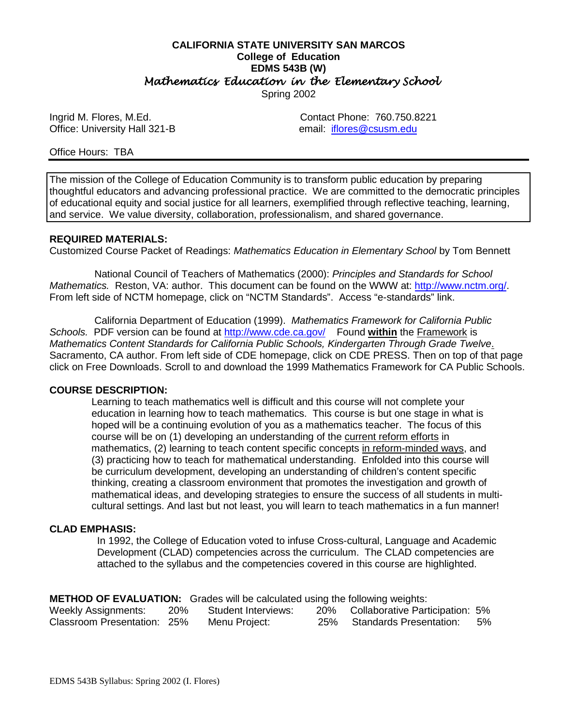#### **CALIFORNIA STATE UNIVERSITY SAN MARCOS College of Education EDMS 543B (W)** *Mathematics Education in the Elementary School*  Spring 2002

Office: University Hall 321-B email: iflores@csusm.edu

Ingrid M. Flores, M.Ed. Contact Phone: 760.750.8221

#### Office Hours: TBA

The mission of the College of Education Community is to transform public education by preparing thoughtful educators and advancing professional practice. We are committed to the democratic principles of educational equity and social justice for all learners, exemplified through reflective teaching, learning, and service. We value diversity, collaboration, professionalism, and shared governance.

#### **REQUIRED MATERIALS:**

Customized Course Packet of Readings: *Mathematics Education in Elementary School* by Tom Bennett

 National Council of Teachers of Mathematics (2000): *Principles and Standards for School Mathematics.* Reston, VA: author. This document can be found on the WWW at: http://www.nctm.org/. From left side of NCTM homepage, click on "NCTM Standards". Access "e-standards" link.

 California Department of Education (1999). *Mathematics Framework for California Public* Schools. PDF version can be found at http://www.cde.ca.gov/ Found within the Framework is *Mathematics Content Standards for California Public Schools, Kindergarten Through Grade Twelve*. Sacramento, CA author. From left side of CDE homepage, click on CDE PRESS. Then on top of that page click on Free Downloads. Scroll to and download the 1999 Mathematics Framework for CA Public Schools.

#### **COURSE DESCRIPTION:**

Learning to teach mathematics well is difficult and this course will not complete your education in learning how to teach mathematics. This course is but one stage in what is hoped will be a continuing evolution of you as a mathematics teacher. The focus of this course will be on (1) developing an understanding of the current reform efforts in mathematics, (2) learning to teach content specific concepts in reform-minded ways, and (3) practicing how to teach for mathematical understanding. Enfolded into this course will be curriculum development, developing an understanding of children's content specific thinking, creating a classroom environment that promotes the investigation and growth of mathematical ideas, and developing strategies to ensure the success of all students in multi cultural settings. And last but not least, you will learn to teach mathematics in a fun manner!

#### **CLAD EMPHASIS:**

 In 1992, the College of Education voted to infuse Cross-cultural, Language and Academic Development (CLAD) competencies across the curriculum. The CLAD competencies are attached to the syllabus and the competencies covered in this course are highlighted.

**METHOD OF EVALUATION:** Grades will be calculated using the following weights:

| <b>Weekly Assignments:</b>  | <b>20%</b> | Student Interviews: | 20% Collaborative Participation: 5% |    |
|-----------------------------|------------|---------------------|-------------------------------------|----|
| Classroom Presentation: 25% |            | Menu Project:       | 25% Standards Presentation:         | 5% |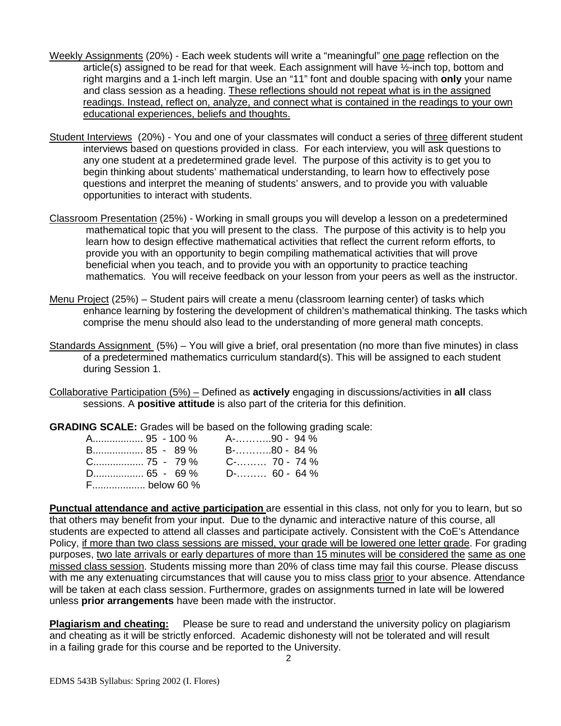- Weekly Assignments (20%) Each week students will write a "meaningful" one page reflection on the article(s) assigned to be read for that week. Each assignment will have ½-inch top, bottom and right margins and a 1-inch left margin. Use an "11" font and double spacing with **only** your name and class session as a heading. These reflections should not repeat what is in the assigned readings. Instead, reflect on, analyze, and connect what is contained in the readings to your own educational experiences, beliefs and thoughts.
- Student Interviews (20%) You and one of your classmates will conduct a series of three different student interviews based on questions provided in class. For each interview, you will ask questions to any one student at a predetermined grade level. The purpose of this activity is to get you to begin thinking about students' mathematical understanding, to learn how to effectively pose questions and interpret the meaning of students' answers, and to provide you with valuable opportunities to interact with students.
- Classroom Presentation (25%) Working in small groups you will develop a lesson on a predetermined mathematical topic that you will present to the class. The purpose of this activity is to help you learn how to design effective mathematical activities that reflect the current reform efforts, to provide you with an opportunity to begin compiling mathematical activities that will prove beneficial when you teach, and to provide you with an opportunity to practice teaching mathematics. You will receive feedback on your lesson from your peers as well as the instructor.
- Menu Project (25%) Student pairs will create a menu (classroom learning center) of tasks which enhance learning by fostering the development of children's mathematical thinking. The tasks which comprise the menu should also lead to the understanding of more general math concepts.
- Standards Assignment (5%) You will give a brief, oral presentation (no more than five minutes) in class of a predetermined mathematics curriculum standard(s). This will be assigned to each student during Session 1.
- Collaborative Participation (5%) Defined as **actively** engaging in discussions/activities in **all** class sessions. A **positive attitude** is also part of the criteria for this definition.

**GRADING SCALE:** Grades will be based on the following grading scale:

| A 95 - 100 % A-90 - 94 %         |             |
|----------------------------------|-------------|
| B 85 - 89 %                      | B-80 - 84 % |
| $C_{\dots}$ 75 - 79% C- 70 - 74% |             |
|                                  |             |
| F below 60 %                     |             |

**Punctual attendance and active participation** are essential in this class, not only for you to learn, but so that others may benefit from your input. Due to the dynamic and interactive nature of this course, all students are expected to attend all classes and participate actively. Consistent with the CoE's Attendance Policy, if more than two class sessions are missed, your grade will be lowered one letter grade. For grading purposes, two late arrivals or early departures of more than 15 minutes will be considered the same as one missed class session. Students missing more than 20% of class time may fail this course. Please discuss with me any extenuating circumstances that will cause you to miss class prior to your absence. Attendance will be taken at each class session. Furthermore, grades on assignments turned in late will be lowered unless **prior arrangements** have been made with the instructor.

**Plagiarism and cheating:** Please be sure to read and understand the university policy on plagiarism and cheating as it will be strictly enforced. Academic dishonesty will not be tolerated and will result in a failing grade for this course and be reported to the University.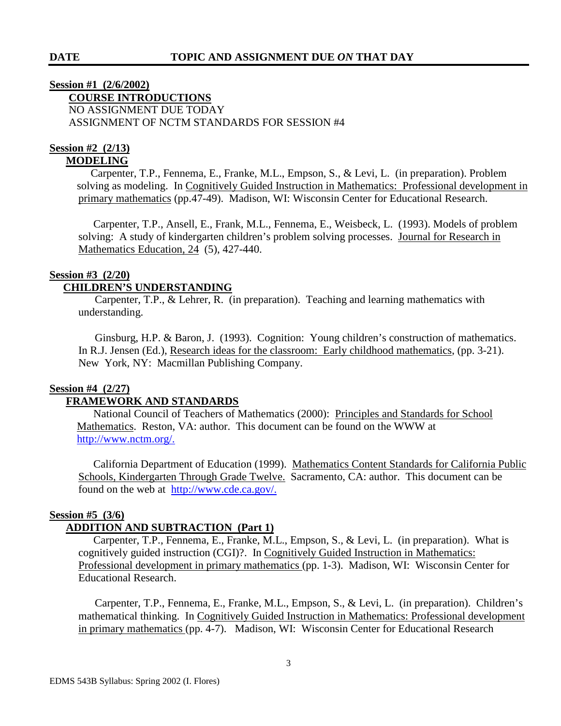## **Session #1 (2/6/2002) COURSE INTRODUCTIONS** NO ASSIGNMENT DUE TODAY ASSIGNMENT OF NCTM STANDARDS FOR SESSION #4

#### **Session #2 (2/13) MODELING**

Carpenter, T.P., Fennema, E., Franke, M.L., Empson, S., & Levi, L. (in preparation). Problem solving as modeling. In Cognitively Guided Instruction in Mathematics: Professional development in primary mathematics (pp.47-49). Madison, WI: Wisconsin Center for Educational Research.

 Carpenter, T.P., Ansell, E., Frank, M.L., Fennema, E., Weisbeck, L. (1993). Models of problem solving: A study of kindergarten children's problem solving processes. Journal for Research in Mathematics Education, 24 (5), 427-440.

## **Session #3 (2/20)**

## **CHILDREN'S UNDERSTANDING**

Carpenter, T.P., & Lehrer, R. (in preparation). Teaching and learning mathematics with understanding.

 Ginsburg, H.P. & Baron, J. (1993). Cognition: Young children's construction of mathematics. In R.J. Jensen (Ed.), Research ideas for the classroom: Early childhood mathematics, (pp. 3-21). New York, NY: Macmillan Publishing Company.

## **Session #4 (2/27)**

## **FRAMEWORK AND STANDARDS**

National Council of Teachers of Mathematics (2000): Principles and Standards for School Mathematics. Reston, VA: author. This document can be found on the WWW at http://www.nctm.org/.

 California Department of Education (1999). Mathematics Content Standards for California Public Schools, Kindergarten Through Grade Twelve. Sacramento, CA: author. This document can be found on the web at http://www.cde.ca.gov/.

## **Session #5 (3/6)**

# **ADDITION AND SUBTRACTION (Part 1)**

Carpenter, T.P., Fennema, E., Franke, M.L., Empson, S., & Levi, L. (in preparation). What is cognitively guided instruction (CGI)?. In Cognitively Guided Instruction in Mathematics: Professional development in primary mathematics (pp. 1-3). Madison, WI: Wisconsin Center for Educational Research.

 Carpenter, T.P., Fennema, E., Franke, M.L., Empson, S., & Levi, L. (in preparation). Children's mathematical thinking. In Cognitively Guided Instruction in Mathematics: Professional development in primary mathematics (pp. 4-7). Madison, WI: Wisconsin Center for Educational Research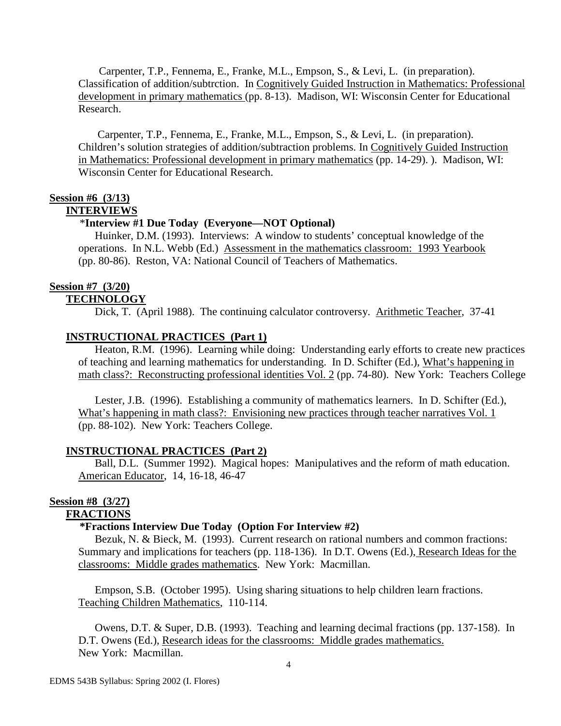Carpenter, T.P., Fennema, E., Franke, M.L., Empson, S., & Levi, L. (in preparation). Classification of addition/subtrction. In Cognitively Guided Instruction in Mathematics: Professional development in primary mathematics (pp. 8-13). Madison, WI: Wisconsin Center for Educational Research.

 Carpenter, T.P., Fennema, E., Franke, M.L., Empson, S., & Levi, L. (in preparation). Children's solution strategies of addition/subtraction problems. In Cognitively Guided Instruction in Mathematics: Professional development in primary mathematics (pp. 14-29). ). Madison, WI: Wisconsin Center for Educational Research.

## **Session #6 (3/13)**

#### **INTERVIEWS**

#### \***Interview #1 Due Today (Everyone—NOT Optional)**

 Huinker, D.M. (1993). Interviews: A window to students' conceptual knowledge of the operations. In N.L. Webb (Ed.) Assessment in the mathematics classroom: 1993 Yearbook (pp. 80-86). Reston, VA: National Council of Teachers of Mathematics.

## **Session #7 (3/20)**

## **TECHNOLOGY**

Dick, T. (April 1988). The continuing calculator controversy. Arithmetic Teacher, 37-41

## **INSTRUCTIONAL PRACTICES (Part 1)**

Heaton, R.M. (1996). Learning while doing: Understanding early efforts to create new practices of teaching and learning mathematics for understanding. In D. Schifter (Ed.), What's happening in math class?: Reconstructing professional identities Vol. 2 (pp. 74-80). New York: Teachers College

 Lester, J.B. (1996). Establishing a community of mathematics learners. In D. Schifter (Ed.), What's happening in math class?: Envisioning new practices through teacher narratives Vol. 1 (pp. 88-102). New York: Teachers College.

#### **INSTRUCTIONAL PRACTICES (Part 2)**

 Ball, D.L. (Summer 1992). Magical hopes: Manipulatives and the reform of math education. American Educator, 14, 16-18, 46-47

# **Session #8 (3/27)**

## **FRACTIONS**

## **\*Fractions Interview Due Today (Option For Interview #2)**

Bezuk, N. & Bieck, M. (1993). Current research on rational numbers and common fractions: Summary and implications for teachers (pp. 118-136). In D.T. Owens (Ed.), Research Ideas for the classrooms: Middle grades mathematics. New York: Macmillan.

 Empson, S.B. (October 1995). Using sharing situations to help children learn fractions. Teaching Children Mathematics, 110-114.

 Owens, D.T. & Super, D.B. (1993). Teaching and learning decimal fractions (pp. 137-158). In D.T. Owens (Ed.), Research ideas for the classrooms: Middle grades mathematics. New York: Macmillan.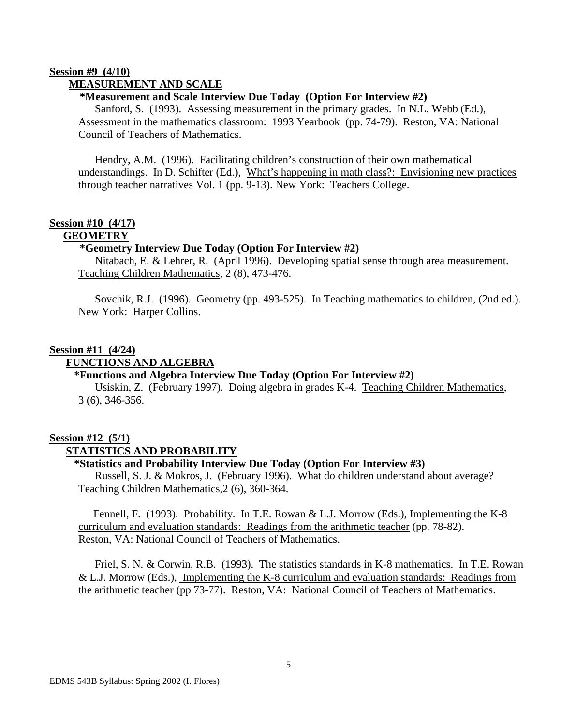#### **Session #9 (4/10) MEASUREMENT AND SCALE**

## **\*Measurement and Scale Interview Due Today (Option For Interview #2)**

 Sanford, S. (1993). Assessing measurement in the primary grades. In N.L. Webb (Ed.), Assessment in the mathematics classroom: 1993 Yearbook (pp. 74-79). Reston, VA: National Council of Teachers of Mathematics.

 Hendry, A.M. (1996). Facilitating children's construction of their own mathematical understandings. In D. Schifter (Ed.), What's happening in math class?: Envisioning new practices through teacher narratives Vol. 1 (pp. 9-13). New York: Teachers College.

#### **Session #10 (4/17) GEOMETRY**

## **\*Geometry Interview Due Today (Option For Interview #2)**

Nitabach, E. & Lehrer, R. (April 1996). Developing spatial sense through area measurement. Teaching Children Mathematics, 2 (8), 473-476.

 Sovchik, R.J. (1996). Geometry (pp. 493-525). In Teaching mathematics to children, (2nd ed.). New York: Harper Collins.

## **Session #11 (4/24)**

#### **FUNCTIONS AND ALGEBRA**

## **\*Functions and Algebra Interview Due Today (Option For Interview #2)**

 Usiskin, Z. (February 1997). Doing algebra in grades K-4. Teaching Children Mathematics, 3 (6), 346-356.

## **Session #12 (5/1)**

## **STATISTICS AND PROBABILITY**

## **\*Statistics and Probability Interview Due Today (Option For Interview #3)**

 Russell, S. J. & Mokros, J. (February 1996). What do children understand about average? Teaching Children Mathematics,2 (6), 360-364.

Fennell, F. (1993). Probability. In T.E. Rowan & L.J. Morrow (Eds.), Implementing the K-8 curriculum and evaluation standards: Readings from the arithmetic teacher (pp. 78-82). Reston, VA: National Council of Teachers of Mathematics.

 Friel, S. N. & Corwin, R.B. (1993). The statistics standards in K-8 mathematics. In T.E. Rowan & L.J. Morrow (Eds.), Implementing the K-8 curriculum and evaluation standards: Readings from the arithmetic teacher (pp 73-77). Reston, VA: National Council of Teachers of Mathematics.